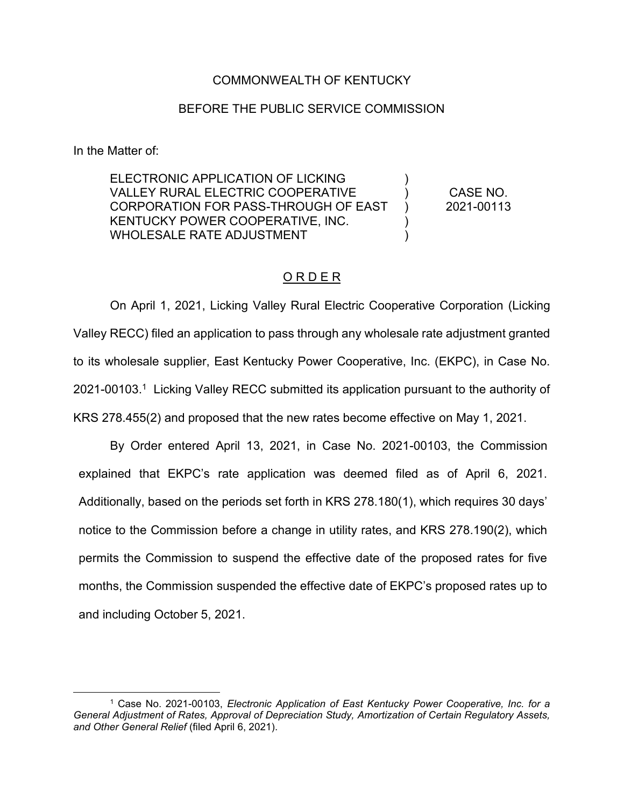### COMMONWEALTH OF KENTUCKY

#### BEFORE THE PUBLIC SERVICE COMMISSION

In the Matter of:

ELECTRONIC APPLICATION OF LICKING VALLEY RURAL ELECTRIC COOPERATIVE CORPORATION FOR PASS-THROUGH OF EAST KENTUCKY POWER COOPERATIVE, INC. WHOLESALE RATE ADJUSTMENT ) )  $\lambda$ ) )

CASE NO. 2021-00113

### O R D E R

On April 1, 2021, Licking Valley Rural Electric Cooperative Corporation (Licking Valley RECC) filed an application to pass through any wholesale rate adjustment granted to its wholesale supplier, East Kentucky Power Cooperative, Inc. (EKPC), in Case No. 2021-00103.1 Licking Valley RECC submitted its application pursuant to the authority of KRS 278.455(2) and proposed that the new rates become effective on May 1, 2021.

By Order entered April 13, 2021, in Case No. 2021-00103, the Commission explained that EKPC's rate application was deemed filed as of April 6, 2021. Additionally, based on the periods set forth in KRS 278.180(1), which requires 30 days' notice to the Commission before a change in utility rates, and KRS 278.190(2), which permits the Commission to suspend the effective date of the proposed rates for five months, the Commission suspended the effective date of EKPC's proposed rates up to and including October 5, 2021.

<sup>1</sup> Case No. 2021-00103, *Electronic Application of East Kentucky Power Cooperative, Inc. for a General Adjustment of Rates, Approval of Depreciation Study, Amortization of Certain Regulatory Assets, and Other General Relief* (filed April 6, 2021).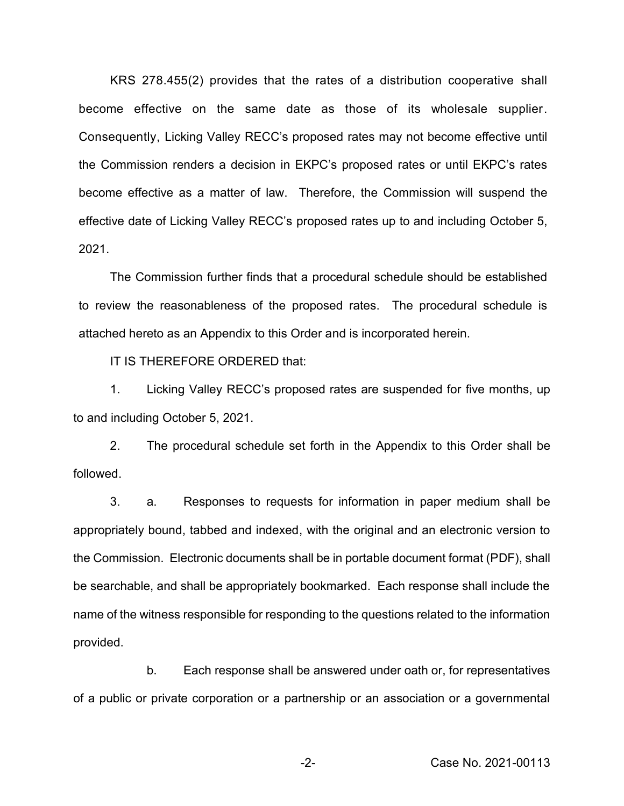KRS 278.455(2) provides that the rates of a distribution cooperative shall become effective on the same date as those of its wholesale supplier. Consequently, Licking Valley RECC's proposed rates may not become effective until the Commission renders a decision in EKPC's proposed rates or until EKPC's rates become effective as a matter of law. Therefore, the Commission will suspend the effective date of Licking Valley RECC's proposed rates up to and including October 5, 2021.

The Commission further finds that a procedural schedule should be established to review the reasonableness of the proposed rates. The procedural schedule is attached hereto as an Appendix to this Order and is incorporated herein.

IT IS THEREFORE ORDERED that:

1. Licking Valley RECC's proposed rates are suspended for five months, up to and including October 5, 2021.

2. The procedural schedule set forth in the Appendix to this Order shall be followed.

3. a. Responses to requests for information in paper medium shall be appropriately bound, tabbed and indexed, with the original and an electronic version to the Commission. Electronic documents shall be in portable document format (PDF), shall be searchable, and shall be appropriately bookmarked. Each response shall include the name of the witness responsible for responding to the questions related to the information provided.

b. Each response shall be answered under oath or, for representatives of a public or private corporation or a partnership or an association or a governmental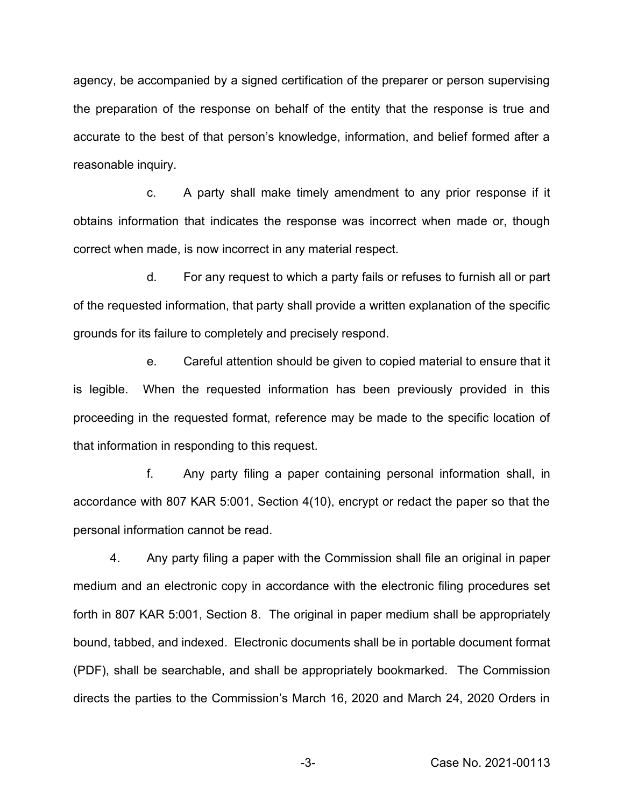agency, be accompanied by a signed certification of the preparer or person supervising the preparation of the response on behalf of the entity that the response is true and accurate to the best of that person's knowledge, information, and belief formed after a reasonable inquiry.

c. A party shall make timely amendment to any prior response if it obtains information that indicates the response was incorrect when made or, though correct when made, is now incorrect in any material respect.

d. For any request to which a party fails or refuses to furnish all or part of the requested information, that party shall provide a written explanation of the specific grounds for its failure to completely and precisely respond.

e. Careful attention should be given to copied material to ensure that it is legible. When the requested information has been previously provided in this proceeding in the requested format, reference may be made to the specific location of that information in responding to this request.

f. Any party filing a paper containing personal information shall, in accordance with 807 KAR 5:001, Section 4(10), encrypt or redact the paper so that the personal information cannot be read.

4. Any party filing a paper with the Commission shall file an original in paper medium and an electronic copy in accordance with the electronic filing procedures set forth in 807 KAR 5:001, Section 8. The original in paper medium shall be appropriately bound, tabbed, and indexed. Electronic documents shall be in portable document format (PDF), shall be searchable, and shall be appropriately bookmarked. The Commission directs the parties to the Commission's March 16, 2020 and March 24, 2020 Orders in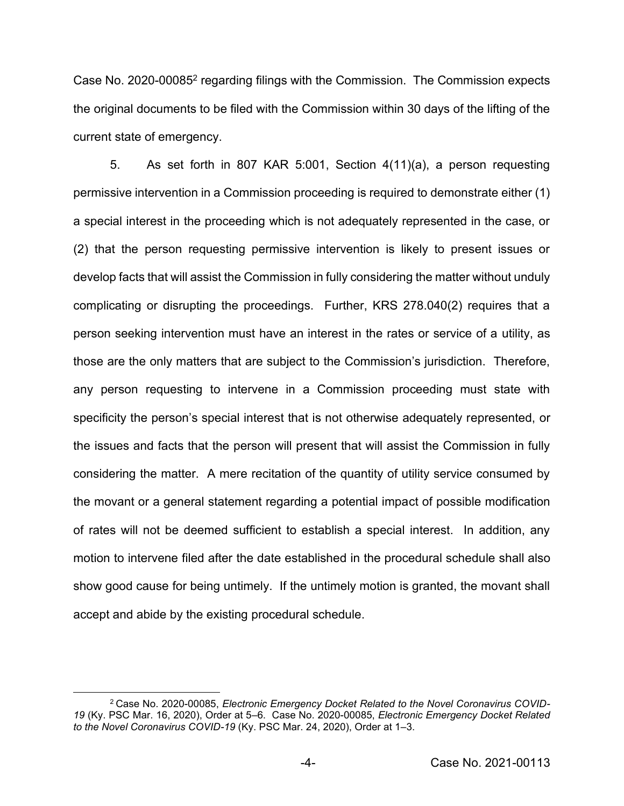Case No. 2020-000852 regarding filings with the Commission. The Commission expects the original documents to be filed with the Commission within 30 days of the lifting of the current state of emergency.

5. As set forth in 807 KAR 5:001, Section 4(11)(a), a person requesting permissive intervention in a Commission proceeding is required to demonstrate either (1) a special interest in the proceeding which is not adequately represented in the case, or (2) that the person requesting permissive intervention is likely to present issues or develop facts that will assist the Commission in fully considering the matter without unduly complicating or disrupting the proceedings. Further, KRS 278.040(2) requires that a person seeking intervention must have an interest in the rates or service of a utility, as those are the only matters that are subject to the Commission's jurisdiction. Therefore, any person requesting to intervene in a Commission proceeding must state with specificity the person's special interest that is not otherwise adequately represented, or the issues and facts that the person will present that will assist the Commission in fully considering the matter. A mere recitation of the quantity of utility service consumed by the movant or a general statement regarding a potential impact of possible modification of rates will not be deemed sufficient to establish a special interest. In addition, any motion to intervene filed after the date established in the procedural schedule shall also show good cause for being untimely. If the untimely motion is granted, the movant shall accept and abide by the existing procedural schedule.

<sup>2</sup> Case No. 2020-00085, *Electronic Emergency Docket Related to the Novel Coronavirus COVID-19* (Ky. PSC Mar. 16, 2020), Order at 5–6. Case No. 2020-00085, *Electronic Emergency Docket Related to the Novel Coronavirus COVID-19* (Ky. PSC Mar. 24, 2020), Order at 1–3.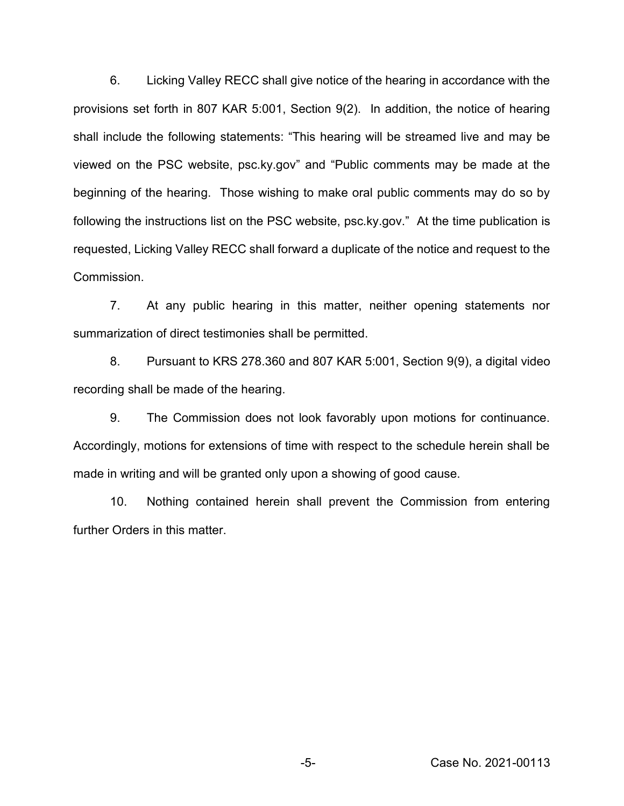6. Licking Valley RECC shall give notice of the hearing in accordance with the provisions set forth in 807 KAR 5:001, Section 9(2). In addition, the notice of hearing shall include the following statements: "This hearing will be streamed live and may be viewed on the PSC website, psc.ky.gov" and "Public comments may be made at the beginning of the hearing. Those wishing to make oral public comments may do so by following the instructions list on the PSC website, psc.ky.gov." At the time publication is requested, Licking Valley RECC shall forward a duplicate of the notice and request to the Commission.

7. At any public hearing in this matter, neither opening statements nor summarization of direct testimonies shall be permitted.

8. Pursuant to KRS 278.360 and 807 KAR 5:001, Section 9(9), a digital video recording shall be made of the hearing.

9. The Commission does not look favorably upon motions for continuance. Accordingly, motions for extensions of time with respect to the schedule herein shall be made in writing and will be granted only upon a showing of good cause.

10. Nothing contained herein shall prevent the Commission from entering further Orders in this matter.

-5- Case No. 2021-00113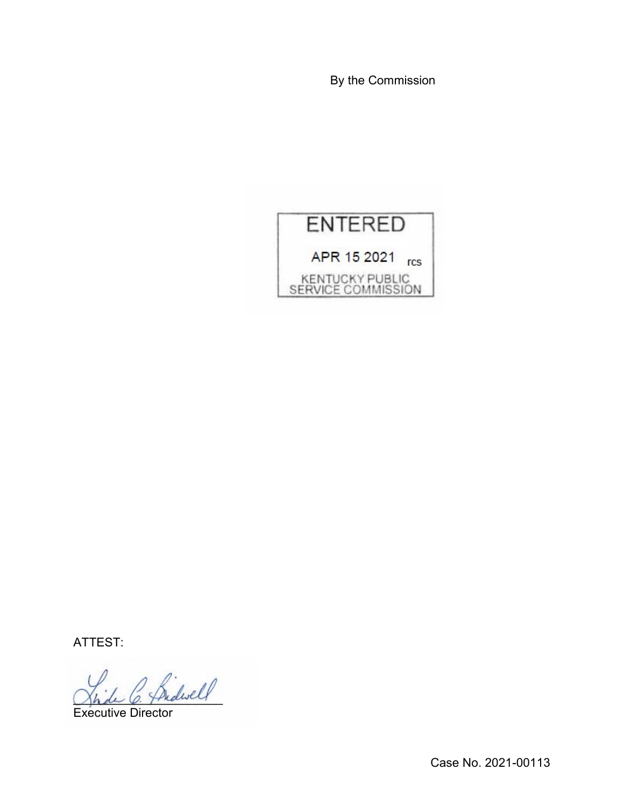By the Commission



ATTEST:

\_\_\_\_\_\_\_\_\_\_\_\_\_\_\_\_\_\_\_\_\_\_

Executive Director

Case No. 2021-00113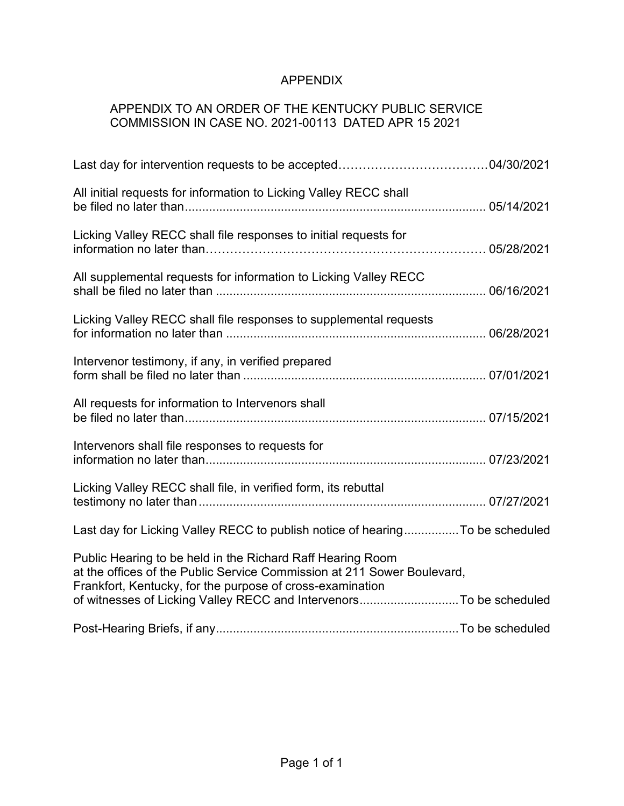# APPENDIX

## APPENDIX TO AN ORDER OF THE KENTUCKY PUBLIC SERVICE COMMISSION IN CASE NO. 2021-00113 DATED APR 15 2021

| All initial requests for information to Licking Valley RECC shall                                                                                                                                  |  |
|----------------------------------------------------------------------------------------------------------------------------------------------------------------------------------------------------|--|
| Licking Valley RECC shall file responses to initial requests for                                                                                                                                   |  |
| All supplemental requests for information to Licking Valley RECC                                                                                                                                   |  |
| Licking Valley RECC shall file responses to supplemental requests                                                                                                                                  |  |
| Intervenor testimony, if any, in verified prepared                                                                                                                                                 |  |
| All requests for information to Intervenors shall                                                                                                                                                  |  |
| Intervenors shall file responses to requests for                                                                                                                                                   |  |
| Licking Valley RECC shall file, in verified form, its rebuttal                                                                                                                                     |  |
| Last day for Licking Valley RECC to publish notice of hearingTo be scheduled                                                                                                                       |  |
| Public Hearing to be held in the Richard Raff Hearing Room<br>at the offices of the Public Service Commission at 211 Sower Boulevard,<br>Frankfort, Kentucky, for the purpose of cross-examination |  |
| of witnesses of Licking Valley RECC and IntervenorsTo be scheduled                                                                                                                                 |  |
|                                                                                                                                                                                                    |  |